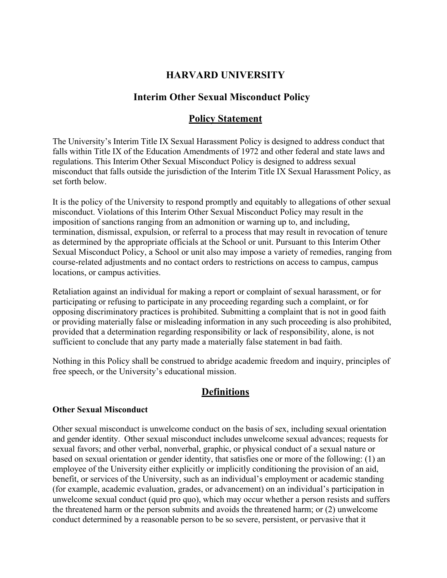## **HARVARD UNIVERSITY**

## **Interim Other Sexual Misconduct Policy**

## **Policy Statement**

The University's Interim Title IX Sexual Harassment Policy is designed to address conduct that falls within Title IX of the Education Amendments of 1972 and other federal and state laws and regulations. This Interim Other Sexual Misconduct Policy is designed to address sexual misconduct that falls outside the jurisdiction of the Interim Title IX Sexual Harassment Policy, as set forth below.

It is the policy of the University to respond promptly and equitably to allegations of other sexual misconduct. Violations of this Interim Other Sexual Misconduct Policy may result in the imposition of sanctions ranging from an admonition or warning up to, and including, termination, dismissal, expulsion, or referral to a process that may result in revocation of tenure as determined by the appropriate officials at the School or unit. Pursuant to this Interim Other Sexual Misconduct Policy, a School or unit also may impose a variety of remedies, ranging from course-related adjustments and no contact orders to restrictions on access to campus, campus locations, or campus activities.

Retaliation against an individual for making a report or complaint of sexual harassment, or for participating or refusing to participate in any proceeding regarding such a complaint, or for opposing discriminatory practices is prohibited. Submitting a complaint that is not in good faith or providing materially false or misleading information in any such proceeding is also prohibited, provided that a determination regarding responsibility or lack of responsibility, alone, is not sufficient to conclude that any party made a materially false statement in bad faith.

Nothing in this Policy shall be construed to abridge academic freedom and inquiry, principles of free speech, or the University's educational mission.

## **Definitions**

#### **Other Sexual Misconduct**

Other sexual misconduct is unwelcome conduct on the basis of sex, including sexual orientation and gender identity. Other sexual misconduct includes unwelcome sexual advances; requests for sexual favors; and other verbal, nonverbal, graphic, or physical conduct of a sexual nature or based on sexual orientation or gender identity, that satisfies one or more of the following: (1) an employee of the University either explicitly or implicitly conditioning the provision of an aid, benefit, or services of the University, such as an individual's employment or academic standing (for example, academic evaluation, grades, or advancement) on an individual's participation in unwelcome sexual conduct (quid pro quo), which may occur whether a person resists and suffers the threatened harm or the person submits and avoids the threatened harm; or (2) unwelcome conduct determined by a reasonable person to be so severe, persistent, or pervasive that it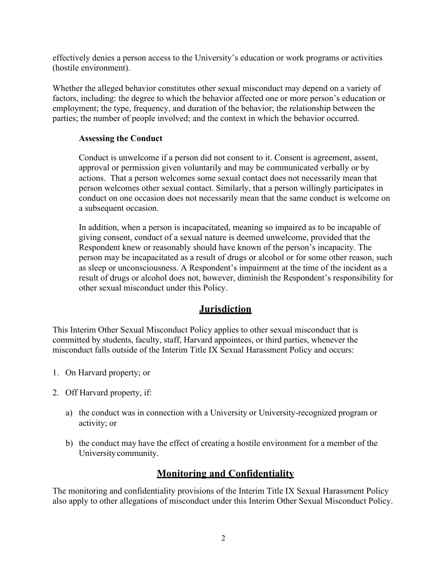effectively denies a person access to the University's education or work programs or activities (hostile environment).

Whether the alleged behavior constitutes other sexual misconduct may depend on a variety of factors, including: the degree to which the behavior affected one or more person's education or employment; the type, frequency, and duration of the behavior; the relationship between the parties; the number of people involved; and the context in which the behavior occurred.

#### **Assessing the Conduct**

Conduct is unwelcome if a person did not consent to it. Consent is agreement, assent, approval or permission given voluntarily and may be communicated verbally or by actions. That a person welcomes some sexual contact does not necessarily mean that person welcomes other sexual contact. Similarly, that a person willingly participates in conduct on one occasion does not necessarily mean that the same conduct is welcome on a subsequent occasion.

In addition, when a person is incapacitated, meaning so impaired as to be incapable of giving consent, conduct of a sexual nature is deemed unwelcome, provided that the Respondent knew or reasonably should have known of the person's incapacity. The person may be incapacitated as a result of drugs or alcohol or for some other reason, such as sleep or unconsciousness. A Respondent's impairment at the time of the incident as a result of drugs or alcohol does not, however, diminish the Respondent's responsibility for other sexual misconduct under this Policy.

## **Jurisdiction**

This Interim Other Sexual Misconduct Policy applies to other sexual misconduct that is committed by students, faculty, staff, Harvard appointees, or third parties, whenever the misconduct falls outside of the Interim Title IX Sexual Harassment Policy and occurs:

- 1. On Harvard property; or
- 2. Off Harvard property, if:
	- a) the conduct was in connection with a University or University-recognized program or activity; or
	- b) the conduct may have the effect of creating a hostile environment for a member of the Universitycommunity.

# **Monitoring and Confidentiality**

The monitoring and confidentiality provisions of the Interim Title IX Sexual Harassment Policy also apply to other allegations of misconduct under this Interim Other Sexual Misconduct Policy.